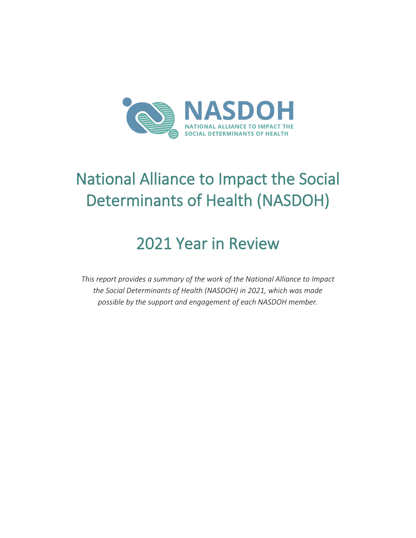

# National Alliance to Impact the Social Determinants of Health (NASDOH)

## 2021 Year in Review

*This report provides a summary of the work of the National Alliance to Impact the Social Determinants of Health (NASDOH) in 2021, which was made possible by the support and engagement of each NASDOH member.*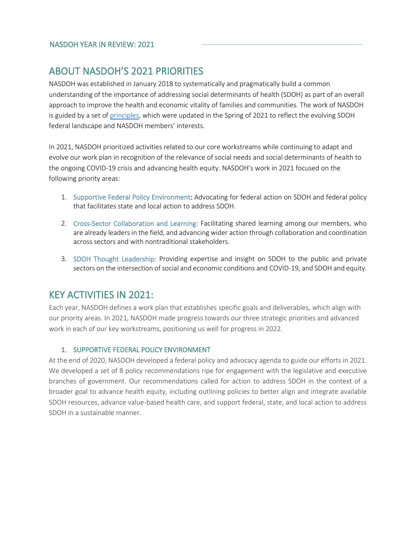### ABOUT NASDOH'S 2021 PRIORITIES

NASDOH was established in January 2018 to systematically and pragmatically build a common understanding of the importance of addressing social determinants of health (SDOH) as part of an overall approach to improve the health and economic vitality of families and communities. The work of NASDOH is guided by a set of [principles,](https://nasdoh.org/about-us/#guiding-principles) which were updated in the Spring of 2021 to reflect the evolving SDOH federal landscape and NASDOH members' interests.

In 2021, NASDOH prioritized activities related to our core workstreams while continuing to adapt and evolve our work plan in recognition of the relevance of social needs and social determinants of health to the ongoing COVID-19 crisis and advancing health equity. NASDOH's work in 2021 focused on the following priority areas:

- 1. Supportive Federal Policy Environment: Advocating for federal action on SDOH and federal policy that facilitates state and local action to address SDOH.
- 2. Cross-Sector Collaboration and Learning: Facilitating shared learning among our members, who are already leaders in the field, and advancing wider action through collaboration and coordination across sectors and with nontraditional stakeholders.
- 3. SDOH Thought Leadership: Providing expertise and insight on SDOH to the public and private sectors on the intersection of social and economic conditions and COVID-19, and SDOH and equity.

### KEY ACTIVITIES IN 2021:

Each year, NASDOH defines a work plan that establishes specific goals and deliverables, which align with our priority areas. In 2021, NASDOH made progress towards our three strategic priorities and advanced work in each of our key workstreams, positioning us well for progress in 2022.

#### 1. SUPPORTIVE FEDERAL POLICY ENVIRONMENT

At the end of 2020, NASDOH developed a federal policy and advocacy agenda to guide our efforts in 2021. We developed a set of 8 policy recommendations ripe for engagement with the legislative and executive branches of government. Our recommendations called for action to address SDOH in the context of a broader goal to advance health equity, including outlining policies to better align and integrate available SDOH resources, advance value-based health care, and support federal, state, and local action to address SDOH in a sustainable manner.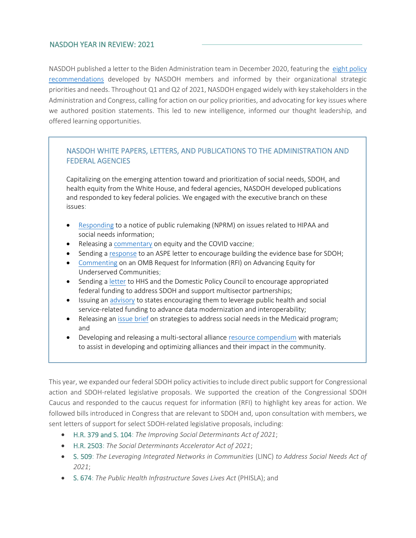NASDOH published a letter to the Biden Administration team in December 2020, featuring the [eight policy](https://leavittpartner.sharepoint.com/sites/LPCA-DEPT-GENERAL/Alliance%20Docs/.Current%20Clients/NASDOH/Drafts/Deliverables/2020%20year%20end%20report/eight%20policy%20recommendations)  [recommendations](https://leavittpartner.sharepoint.com/sites/LPCA-DEPT-GENERAL/Alliance%20Docs/.Current%20Clients/NASDOH/Drafts/Deliverables/2020%20year%20end%20report/eight%20policy%20recommendations) developed by NASDOH members and informed by their organizational strategic priorities and needs. Throughout Q1 and Q2 of 2021, NASDOH engaged widely with key stakeholders in the Administration and Congress, calling for action on our policy priorities, and advocating for key issues where we authored position statements. This led to new intelligence, informed our thought leadership, and offered learning opportunities.

#### NASDOH WHITE PAPERS, LETTERS, AND PUBLICATIONS TO THE ADMINISTRATION AND FEDERAL AGENCIES

Capitalizing on the emerging attention toward and prioritization of social needs, SDOH, and health equity from the White House, and federal agencies, NASDOH developed publications and responded to key federal policies. We engaged with the executive branch on these issues:

- [Responding](https://nasdoh.org/wp-content/uploads/2021/05/HIPAA-NPRM_NASDOH-Comments_2021.pdf) to a notice of public rulemaking (NPRM) on issues related to HIPAA and social needs information;
- Releasing a [commentary](https://nasdoh.org/related-publications/#nasdoh-issue-briefs-and-white-papers) on equity and the COVID vaccine;
- Sending a [response](https://nasdoh.org/wp-content/uploads/2021/11/NASDOH-Letter-to-ASPE.pdf) to an ASPE letter to encourage building the evidence base for SDOH;
- [Commenting](https://nasdoh.org/wp-content/uploads/2021/07/NASDOH-response-to-OMB-Equity-RFI-final.pdf) on an OMB Request for Information (RFI) on Advancing Equity for Underserved Communities;
- Sending a [letter](https://nasdoh.org/wp-content/uploads/2021/06/NASDOH-Letter-on-Multisector-Partnerships_FINAL.pdf) to HHS and the Domestic Policy Council to encourage appropriated federal funding to address SDOH and support multisector partnerships;
- Issuing an [advisory](https://nasdoh.org/wp-content/uploads/2021/11/Data-and-Tech-Advisory-to-States.pdf) to states encouraging them to leverage public health and social service-related funding to advance data modernization and interoperability;
- Releasing an [issue brief](https://nasdoh.org/wp-content/uploads/2021/10/10-21-NASDOH-Medicaid-and-Social-Needs-Issue-Brief_FINAL.pdf) on strategies to address social needs in the Medicaid program; and
- Developing and releasing a multi-sectoral allianc[e resource compendium](https://leavittpartners.com/wp-content/uploads/2021/03/LPCA_NASDOH-Compendium_FINAL.pdf) with materials to assist in developing and optimizing alliances and their impact in the community.

This year, we expanded our federal SDOH policy activities to include direct public support for Congressional action and SDOH-related legislative proposals. We supported the creation of the Congressional SDOH Caucus and responded to the caucus request for information (RFI) to highlight key areas for action. We followed bills introduced in Congress that are relevant to SDOH and, upon consultation with members, we sent letters of support for select SDOH-related legislative proposals, including:

- H.R. 379 and S. 104: *The Improving Social Determinants Act of 2021*;
- H.R. 2503: *The Social Determinants Accelerator Act of 2021*;
- S. 509: *The Leveraging Integrated Networks in Communities* (LINC) *to Address Social Needs Act of 2021*;
- S. 674: *The Public Health Infrastructure Saves Lives Act* (PHISLA); and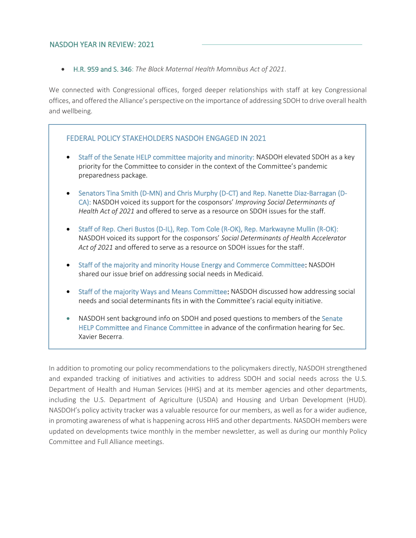• H.R. 959 and S. 346: *The Black Maternal Health Momnibus Act of 2021*.

We connected with Congressional offices, forged deeper relationships with staff at key Congressional offices, and offered the Alliance's perspective on the importance of addressing SDOH to drive overall health and wellbeing.

#### FEDERAL POLICY STAKEHOLDERS NASDOH ENGAGED IN 2021

- Staff of the Senate HELP committee majority and minority: NASDOH elevated SDOH as a key priority for the Committee to consider in the context of the Committee's pandemic preparedness package.
- Senators Tina Smith (D-MN) and Chris Murphy (D-CT) and Rep. Nanette Diaz-Barragan (D-CA): NASDOH voiced its support for the cosponsors' *Improving Social Determinants of Health Act of 2021* and offered to serve as a resource on SDOH issues for the staff.
- Staff of Rep. Cheri Bustos (D-IL), Rep. Tom Cole (R-OK), Rep. Markwayne Mullin (R-OK): NASDOH voiced its support for the cosponsors' *Social Determinants of Health Accelerator Act of 2021* and offered to serve as a resource on SDOH issues for the staff.
- Staff of the majority and minority House Energy and Commerce Committee: NASDOH shared our issue brief on addressing social needs in Medicaid.
- Staff of the majority Ways and Means Committee: NASDOH discussed how addressing social needs and social determinants fits in with the Committee's racial equity initiative.
- NASDOH sent background info on SDOH and posed questions to members of the Senate HELP Committee and Finance Committee in advance of the confirmation hearing for Sec. Xavier Becerra.

In addition to promoting our policy recommendations to the policymakers directly, NASDOH strengthened and expanded tracking of initiatives and activities to address SDOH and social needs across the U.S. Department of Health and Human Services (HHS) and at its member agencies and other departments, including the U.S. Department of Agriculture (USDA) and Housing and Urban Development (HUD). NASDOH's policy activity tracker was a valuable resource for our members, as well as for a wider audience, in promoting awareness of what is happening across HHS and other departments. NASDOH members were updated on developments twice monthly in the member newsletter, as well as during our monthly Policy Committee and Full Alliance meetings.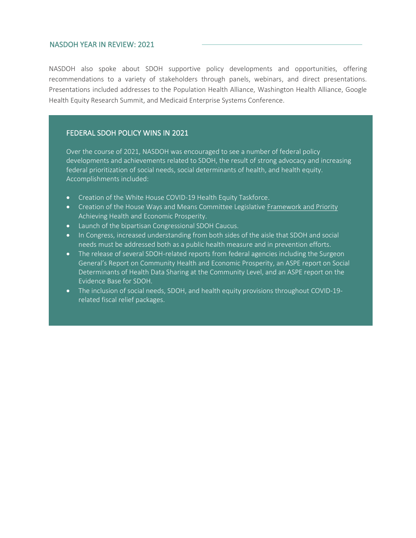NASDOH also spoke about SDOH supportive policy developments and opportunities, offering recommendations to a variety of stakeholders through panels, webinars, and direct presentations. Presentations included addresses to the Population Health Alliance, Washington Health Alliance, Google Health Equity Research Summit, and Medicaid Enterprise Systems Conference.

#### FEDERAL SDOH POLICY WINS IN 2021

Over the course of 2021, NASDOH was encouraged to see a number of federal policy developments and achievements related to SDOH, the result of strong advocacy and increasing federal prioritization of social needs, social determinants of health, and health equity. Accomplishments included:

- Creation of the White House COVID-19 Health Equity Taskforce.
- Creation of the House Ways and Means Committee Legislative [Framework and Priority](https://waysandmeans.house.gov/media-center/press-releases/ways-and-means-democrats-release-framework-achieve-health-and-economic) Achieving Health and Economic Prosperity.
- Launch of the bipartisan Congressional SDOH Caucus.
- In Congress, increased understanding from both sides of the aisle that SDOH and social needs must be addressed both as a public health measure and in prevention efforts.
- The release of several SDOH-related reports from federal agencies including the Surgeon General's Report on Community Health and Economic Prosperity, an ASPE report on Social Determinants of Health Data Sharing at the Community Level, and an ASPE report on the Evidence Base for SDOH.
- The inclusion of social needs, SDOH, and health equity provisions throughout COVID-19 related fiscal relief packages.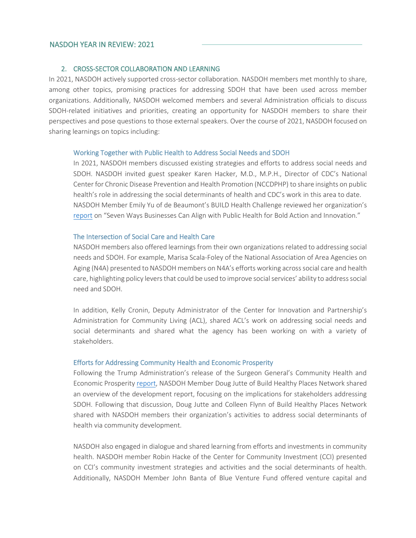#### 2. CROSS-SECTOR COLLABORATION AND LEARNING

In 2021, NASDOH actively supported cross-sector collaboration. NASDOH members met monthly to share, among other topics, promising practices for addressing SDOH that have been used across member organizations. Additionally, NASDOH welcomed members and several Administration officials to discuss SDOH-related initiatives and priorities, creating an opportunity for NASDOH members to share their perspectives and pose questions to those external speakers. Over the course of 2021, NASDOH focused on sharing learnings on topics including:

#### Working Together with Public Health to Address Social Needs and SDOH

In 2021, NASDOH members discussed existing strategies and efforts to address social needs and SDOH. NASDOH invited guest speaker Karen Hacker, M.D., M.P.H., Director of CDC's National Center for Chronic Disease Prevention and Health Promotion (NCCDPHP) to share insights on public health's role in addressing the social determinants of health and CDC's work in this area to date. NASDOH Member Emily Yu of de Beaumont's BUILD Health Challenge reviewed her organization's [report](https://debeaumont.org/wp-content/uploads/2021/02/Seven-Ways-Businesses-Can-Align-with-Public-Health.pdf) on "Seven Ways Businesses Can Align with Public Health for Bold Action and Innovation."

#### The Intersection of Social Care and Health Care

NASDOH members also offered learnings from their own organizations related to addressing social needs and SDOH. For example, Marisa Scala-Foley of the National Association of Area Agencies on Aging (N4A) presented to NASDOH members on N4A's efforts working across social care and health care, highlighting policy levers that could be used to improve social services' ability to address social need and SDOH.

In addition, Kelly Cronin, Deputy Administrator of the Center for Innovation and Partnership's Administration for Community Living (ACL), shared ACL's work on addressing social needs and social determinants and shared what the agency has been working on with a variety of stakeholders.

#### Efforts for Addressing Community Health and Economic Prosperity

Following the Trump Administration's release of the Surgeon General's Community Health and Economic Prosperity [report,](https://www.hhs.gov/sites/default/files/chep-sgr-full-report.pdf) NASDOH Member Doug Jutte of Build Healthy Places Network shared an overview of the development report, focusing on the implications for stakeholders addressing SDOH. Following that discussion, Doug Jutte and Colleen Flynn of Build Healthy Places Network shared with NASDOH members their organization's activities to address social determinants of health via community development.

NASDOH also engaged in dialogue and shared learning from efforts and investments in community health. NASDOH member Robin Hacke of the Center for Community Investment (CCI) presented on CCI's community investment strategies and activities and the social determinants of health. Additionally, NASDOH Member John Banta of Blue Venture Fund offered venture capital and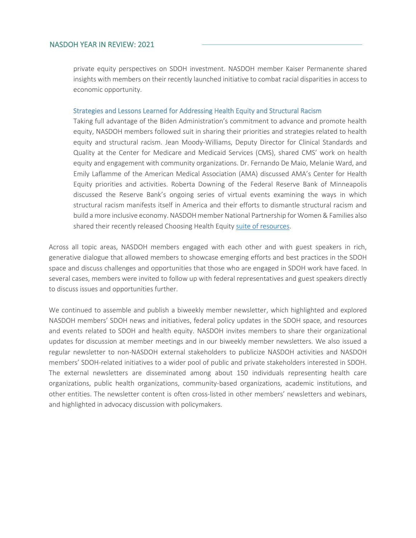private equity perspectives on SDOH investment. NASDOH member Kaiser Permanente shared insights with members on their recently launched initiative to combat racial disparities in access to economic opportunity.

#### Strategies and Lessons Learned for Addressing Health Equity and Structural Racism

Taking full advantage of the Biden Administration's commitment to advance and promote health equity, NASDOH members followed suit in sharing their priorities and strategies related to health equity and structural racism. Jean Moody-Williams, Deputy Director for Clinical Standards and Quality at the Center for Medicare and Medicaid Services (CMS), shared CMS' work on health equity and engagement with community organizations. Dr. Fernando De Maio, Melanie Ward, and Emily Laflamme of the American Medical Association (AMA) discussed AMA's Center for Health Equity priorities and activities. Roberta Downing of the Federal Reserve Bank of Minneapolis discussed the Reserve Bank's ongoing series of virtual events examining the ways in which structural racism manifests itself in America and their efforts to dismantle structural racism and build a more inclusive economy. NASDOH member National Partnership for Women & Families also shared their recently released Choosing Health Equit[y suite of resources.](https://www.nationalpartnership.org/our-work/health/choosing-health-equity.html)

Across all topic areas, NASDOH members engaged with each other and with guest speakers in rich, generative dialogue that allowed members to showcase emerging efforts and best practices in the SDOH space and discuss challenges and opportunities that those who are engaged in SDOH work have faced. In several cases, members were invited to follow up with federal representatives and guest speakers directly to discuss issues and opportunities further.

We continued to assemble and publish a biweekly member newsletter, which highlighted and explored NASDOH members' SDOH news and initiatives, federal policy updates in the SDOH space, and resources and events related to SDOH and health equity. NASDOH invites members to share their organizational updates for discussion at member meetings and in our biweekly member newsletters. We also issued a regular newsletter to non-NASDOH external stakeholders to publicize NASDOH activities and NASDOH members' SDOH-related initiatives to a wider pool of public and private stakeholders interested in SDOH. The external newsletters are disseminated among about 150 individuals representing health care organizations, public health organizations, community-based organizations, academic institutions, and other entities. The newsletter content is often cross-listed in other members' newsletters and webinars, and highlighted in advocacy discussion with policymakers.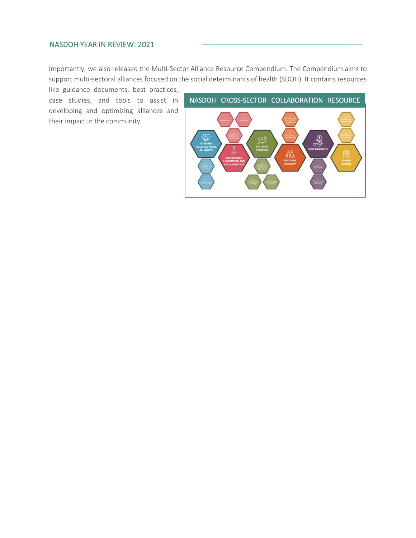Importantly, we also released the Multi-Sector Alliance Resource Compendium. The Compendium aims to support multi-sectoral alliances focused on the social determinants of health (SDOH). It contains resources

like guidance documents, best practices, case studies, and tools to assist in developing and optimizing alliances and their impact in the community.

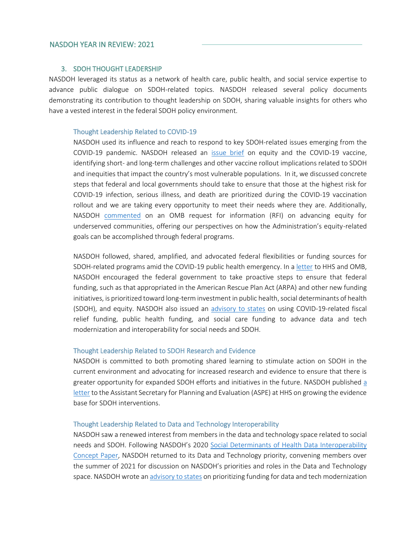#### 3. SDOH THOUGHT LEADERSHIP

NASDOH leveraged its status as a network of health care, public health, and social service expertise to advance public dialogue on SDOH-related topics. NASDOH released several policy documents demonstrating its contribution to thought leadership on SDOH, sharing valuable insights for others who have a vested interest in the federal SDOH policy environment.

#### Thought Leadership Related to COVID-19

NASDOH used its influence and reach to respond to key SDOH-related issues emerging from the COVID-19 pandemic. NASDOH released an [issue brief](https://nasdoh.org/wp-content/uploads/2021/03/NASDOH_Equity-and-the-COVID-19-Vaccine-Commentary_FINAL.pdf) on equity and the COVID-19 vaccine, identifying short- and long-term challenges and other vaccine rollout implications related to SDOH and inequities that impact the country's most vulnerable populations. In it, we discussed concrete steps that federal and local governments should take to ensure that those at the highest risk for COVID-19 infection, serious illness, and death are prioritized during the COVID-19 vaccination rollout and we are taking every opportunity to meet their needs where they are. Additionally, NASDOH [commented](https://nasdoh.org/wp-content/uploads/2021/07/NASDOH-response-to-OMB-Equity-RFI-final.pdf) on an OMB request for information (RFI) on advancing equity for underserved communities, offering our perspectives on how the Administration's equity-related goals can be accomplished through federal programs.

NASDOH followed, shared, amplified, and advocated federal flexibilities or funding sources for SDOH-related programs amid the COVID-19 public health emergency. In a [letter](https://nasdoh.org/wp-content/uploads/2021/06/NASDOH-Letter-on-Multisector-Partnerships_FINAL.pdf) to HHS and OMB, NASDOH encouraged the federal government to take proactive steps to ensure that federal funding, such as that appropriated in the American Rescue Plan Act (ARPA) and other new funding initiatives, is prioritized toward long-term investment in public health, social determinants of health (SDOH), and equity. NASDOH also issued an [advisory to states](https://nasdoh.org/wp-content/uploads/2021/11/Data-and-Tech-Advisory-to-States.pdf) on using COVID-19-related fiscal relief funding, public health funding, and social care funding to advance data and tech modernization and interoperability for social needs and SDOH.

#### Thought Leadership Related to SDOH Research and Evidence

NASDOH is committed to both promoting shared learning to stimulate action on SDOH in the current environment and advocating for increased research and evidence to ensure that there is greater opportunity for expanded SDOH efforts and initiatives in the future. NASDOH published [a](https://nasdoh.org/wp-content/uploads/2021/11/NASDOH-Letter-to-ASPE.pdf)  [letter](https://nasdoh.org/wp-content/uploads/2021/11/NASDOH-Letter-to-ASPE.pdf) to the Assistant Secretary for Planning and Evaluation (ASPE) at HHS on growing the evidence base for SDOH interventions.

#### Thought Leadership Related to Data and Technology Interoperability

NASDOH saw a renewed interest from members in the data and technology space related to social needs and SDOH. Following NASDOH's 2020 [Social Determinants of Health Data Interoperability](https://nam10.safelinks.protection.outlook.com/?url=https%3A%2F%2Fwww.nasdoh.org%2Frelated-publications%2F%23nasdoh-issue-briefs-and-white-papers&data=02%7C01%7Cmiriam.zamudio%40leavittpartners.com%7Ce405534d82a040b2745a08d83ed53d6b%7Cbc1373cd62314aedb3aac27cece22f31%7C0%7C0%7C637328432860567815&sdata=SDo8X7BHWYWO0CftdHdjdxp97fZN0sTtPUwdhLmORwo%3D&reserved=0)  [Concept Paper,](https://nam10.safelinks.protection.outlook.com/?url=https%3A%2F%2Fwww.nasdoh.org%2Frelated-publications%2F%23nasdoh-issue-briefs-and-white-papers&data=02%7C01%7Cmiriam.zamudio%40leavittpartners.com%7Ce405534d82a040b2745a08d83ed53d6b%7Cbc1373cd62314aedb3aac27cece22f31%7C0%7C0%7C637328432860567815&sdata=SDo8X7BHWYWO0CftdHdjdxp97fZN0sTtPUwdhLmORwo%3D&reserved=0) NASDOH returned to its Data and Technology priority, convening members over the summer of 2021 for discussion on NASDOH's priorities and roles in the Data and Technology space. NASDOH wrote a[n advisory](https://nasdoh.org/wp-content/uploads/2021/11/Data-and-Tech-Advisory-to-States.pdf) to states on prioritizing funding for data and tech modernization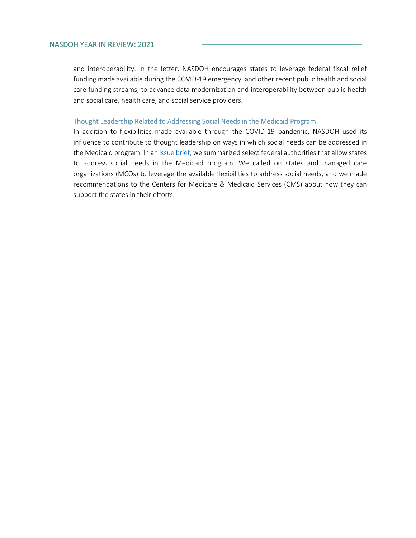and interoperability. In the letter, NASDOH encourages states to leverage federal fiscal relief funding made available during the COVID-19 emergency, and other recent public health and social care funding streams, to advance data modernization and interoperability between public health and social care, health care, and social service providers.

#### Thought Leadership Related to Addressing Social Needs in the Medicaid Program

In addition to flexibilities made available through the COVID-19 pandemic, NASDOH used its influence to contribute to thought leadership on ways in which social needs can be addressed in the Medicaid program. In an [issue brief,](https://nasdoh.org/wp-content/uploads/2021/10/10-21-NASDOH-Medicaid-and-Social-Needs-Issue-Brief_FINAL.pdf) we summarized select federal authorities that allow states to address social needs in the Medicaid program. We called on states and managed care organizations (MCOs) to leverage the available flexibilities to address social needs, and we made recommendations to the Centers for Medicare & Medicaid Services (CMS) about how they can support the states in their efforts.